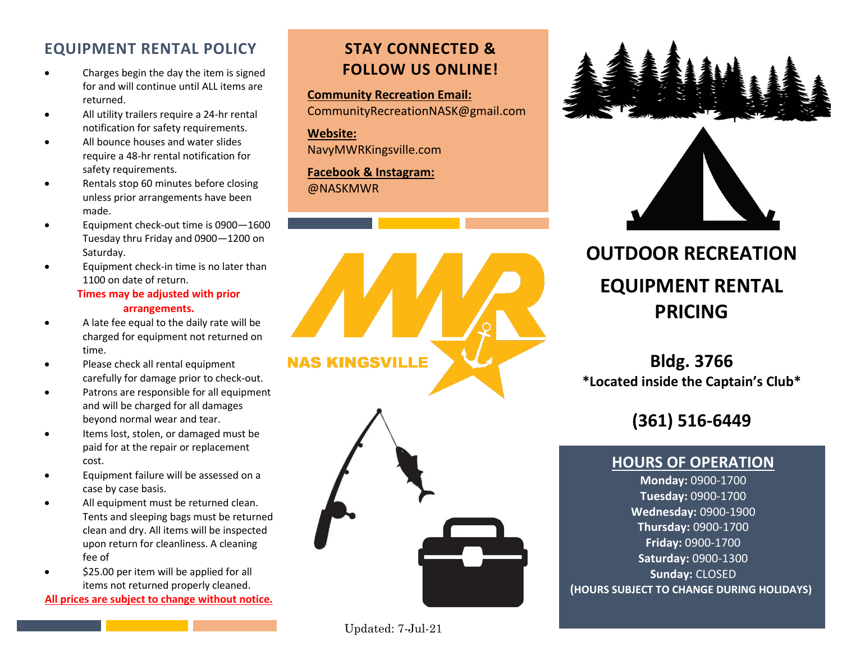#### **EQUIPMENT RENTAL POLICY**

- Charges begin the day the item is signed for and will continue until ALL items are returned.
- All utility trailers require a 24-hr rental notification for safety requirements.
- All bounce houses and water slides require a 48-hr rental notification for safety requirements.
- Rentals stop 60 minutes before closing unless prior arrangements have been made.
- Equipment check-out time is 0900—1600 Tuesday thru Friday and 0900—1200 on Saturday.
- Equipment check-in time is no later than 1100 on date of return.

#### **Times may be adjusted with prior arrangements.**

- A late fee equal to the daily rate will be charged for equipment not returned on time.
- Please check all rental equipment carefully for damage prior to check-out.
- Patrons are responsible for all equipment and will be charged for all damages beyond normal wear and tear.
- Items lost, stolen, or damaged must be paid for at the repair or replacement cost.
- Equipment failure will be assessed on a case by case basis.
- All equipment must be returned clean. Tents and sleeping bags must be returned clean and dry. All items will be inspected upon return for cleanliness. A cleaning fee of
- \$25.00 per item will be applied for all items not returned properly cleaned.

**All prices are subject to change without notice.**

### **STAY CONNECTED & FOLLOW US ONLINE!**

**Community Recreation Email:** CommunityRecreationNASK@gmail.com

**Website:** NavyMWRKingsville.com

**Facebook & Instagram:**  @NASKMWR







# **OUTDOOR RECREATION EQUIPMENT RENTAL PRICING**

### **Bldg. 3766 \*Located inside the Captain's Club\***

**(361) 516-6449**

#### **HOURS OF OPERATION**

**Monday:** 0900-1700 **Tuesday:** 0900-1700 **Wednesday:** 0900-1900 **Thursday:** 0900-1700 **Friday:** 0900-1700 **Saturday:** 0900-1300 **Sunday:** CLOSED **(HOURS SUBJECT TO CHANGE DURING HOLIDAYS)**

Updated: 7-Jul-21